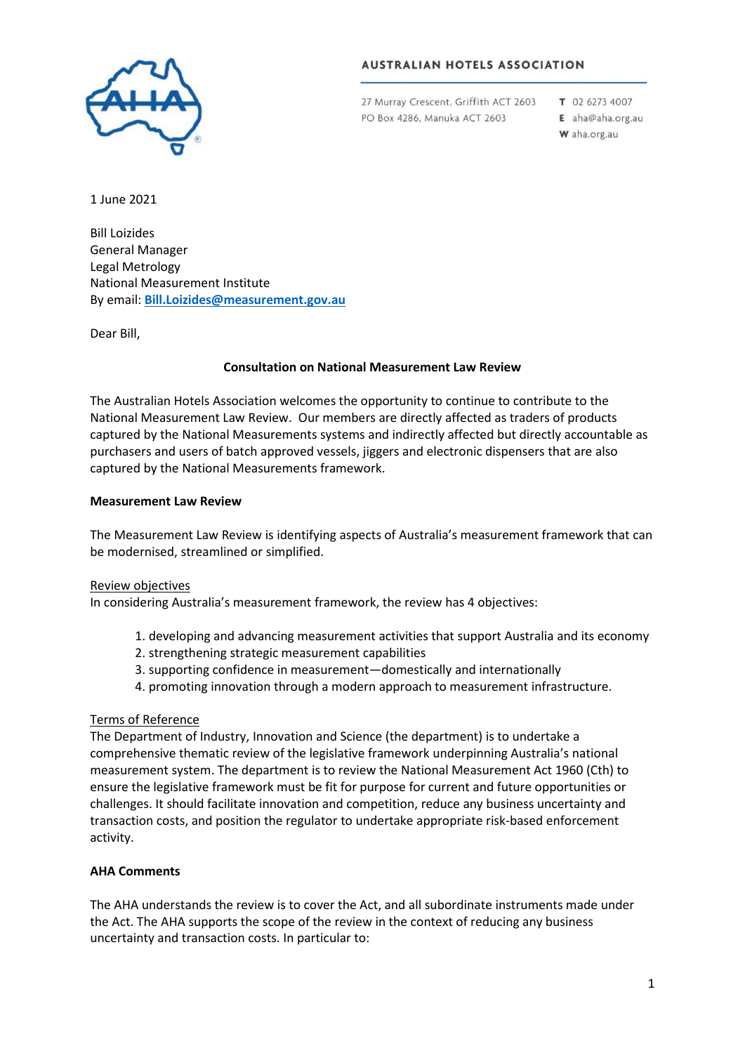

#### **AUSTRALIAN HOTELS ASSOCIATION**

27 Murray Crescent, Griffith ACT 2603 PO Box 4286, Manuka ACT 2603

T 02 6273 4007 E aha@aha.org.au W aha.org.au

1 June 2021

Bill Loizides General Manager Legal Metrology National Measurement Institute By email: **[Bill.Loizides@measurement.gov.au](mailto:Bill.Loizides@measurement.gov.au)**

Dear Bill,

# **Consultation on National Measurement Law Review**

The Australian Hotels Association welcomes the opportunity to continue to contribute to the National Measurement Law Review. Our members are directly affected as traders of products captured by the National Measurements systems and indirectly affected but directly accountable as purchasers and users of batch approved vessels, jiggers and electronic dispensers that are also captured by the National Measurements framework.

#### **Measurement Law Review**

The Measurement Law Review is identifying aspects of Australia's measurement framework that can be modernised, streamlined or simplified.

#### Review objectives

In considering Australia's measurement framework, the review has 4 objectives:

- 1. developing and advancing measurement activities that support Australia and its economy
- 2. strengthening strategic measurement capabilities
- 3. supporting confidence in measurement—domestically and internationally
- 4. promoting innovation through a modern approach to measurement infrastructure.

# Terms of Reference

The Department of Industry, Innovation and Science (the department) is to undertake a comprehensive thematic review of the legislative framework underpinning Australia's national measurement system. The department is to review the National Measurement Act 1960 (Cth) to ensure the legislative framework must be fit for purpose for current and future opportunities or challenges. It should facilitate innovation and competition, reduce any business uncertainty and transaction costs, and position the regulator to undertake appropriate risk-based enforcement activity.

# **AHA Comments**

The AHA understands the review is to cover the Act, and all subordinate instruments made under the Act. The AHA supports the scope of the review in the context of reducing any business uncertainty and transaction costs. In particular to: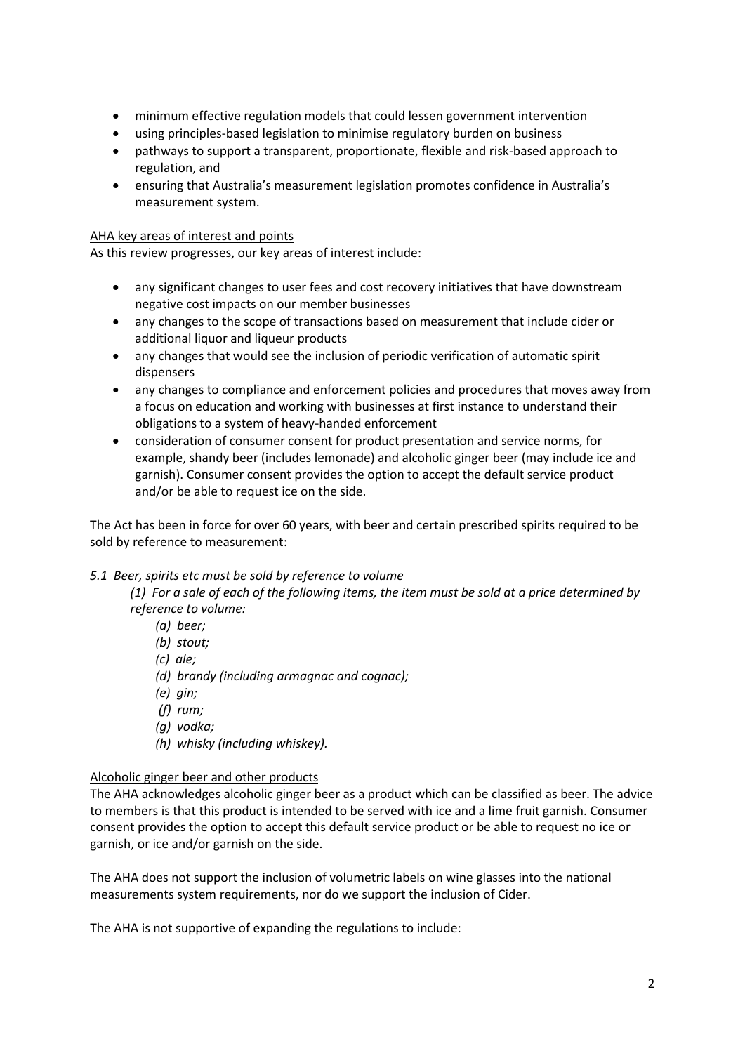- minimum effective regulation models that could lessen government intervention
- using principles-based legislation to minimise regulatory burden on business
- pathways to support a transparent, proportionate, flexible and risk-based approach to regulation, and
- ensuring that Australia's measurement legislation promotes confidence in Australia's measurement system.

#### AHA key areas of interest and points

As this review progresses, our key areas of interest include:

- any significant changes to user fees and cost recovery initiatives that have downstream negative cost impacts on our member businesses
- any changes to the scope of transactions based on measurement that include cider or additional liquor and liqueur products
- any changes that would see the inclusion of periodic verification of automatic spirit dispensers
- any changes to compliance and enforcement policies and procedures that moves away from a focus on education and working with businesses at first instance to understand their obligations to a system of heavy-handed enforcement
- consideration of consumer consent for product presentation and service norms, for example, shandy beer (includes lemonade) and alcoholic ginger beer (may include ice and garnish). Consumer consent provides the option to accept the default service product and/or be able to request ice on the side.

The Act has been in force for over 60 years, with beer and certain prescribed spirits required to be sold by reference to measurement:

#### *5.1 Beer, spirits etc must be sold by reference to volume*

*(1) For a sale of each of the following items, the item must be sold at a price determined by reference to volume:*

- *(a) beer;*
- *(b) stout;*
- *(c) ale;*
- *(d) brandy (including armagnac and cognac);*
- *(e) gin;*
- *(f) rum;*
- *(g) vodka;*
- *(h) whisky (including whiskey).*

# Alcoholic ginger beer and other products

The AHA acknowledges alcoholic ginger beer as a product which can be classified as beer. The advice to members is that this product is intended to be served with ice and a lime fruit garnish. Consumer consent provides the option to accept this default service product or be able to request no ice or garnish, or ice and/or garnish on the side.

The AHA does not support the inclusion of volumetric labels on wine glasses into the national measurements system requirements, nor do we support the inclusion of Cider.

The AHA is not supportive of expanding the regulations to include: